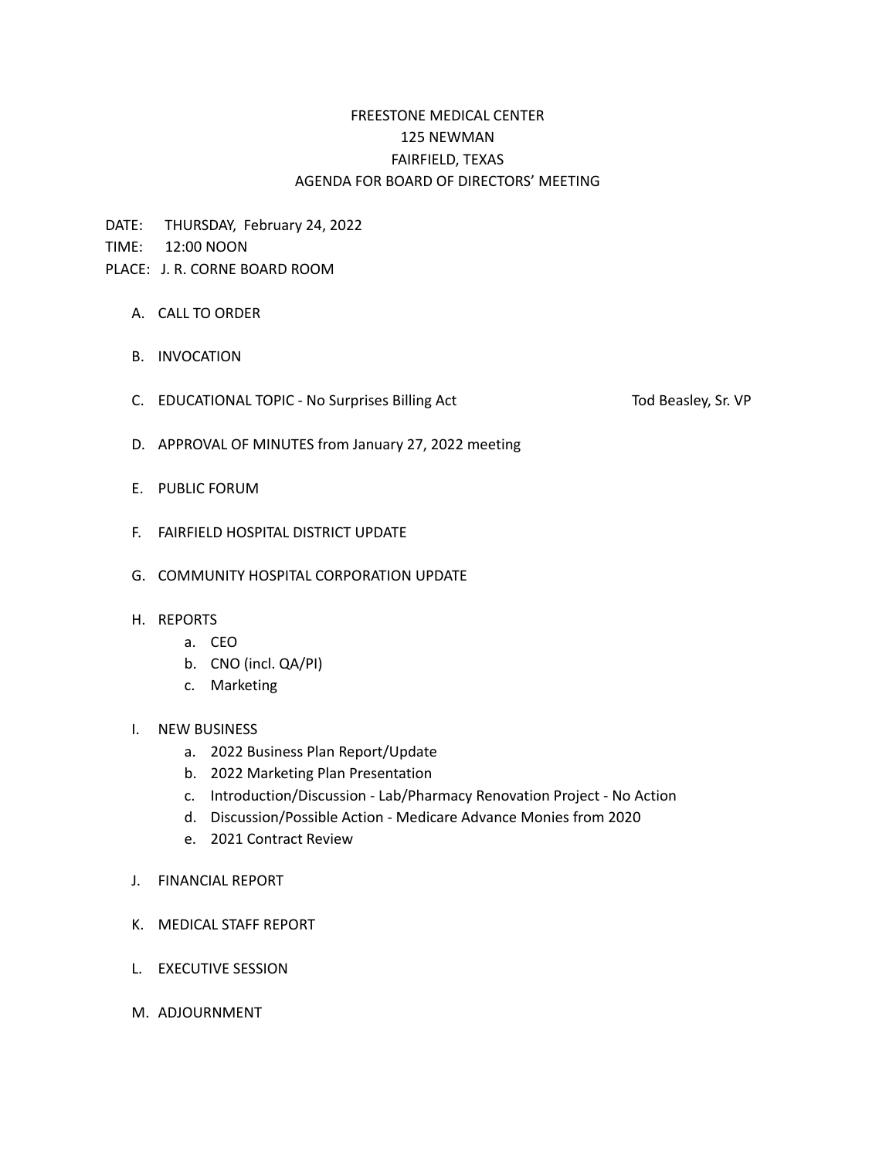## FREESTONE MEDICAL CENTER 125 NEWMAN FAIRFIELD, TEXAS AGENDA FOR BOARD OF DIRECTORS' MEETING

DATE: THURSDAY, February 24, 2022

TIME: 12:00 NOON

- PLACE: J. R. CORNE BOARD ROOM
	- A. CALL TO ORDER
	- B. INVOCATION
	- C. EDUCATIONAL TOPIC No Surprises Billing Act Tod Beasley, Sr. VP

- D. APPROVAL OF MINUTES from January 27, 2022 meeting
- E. PUBLIC FORUM
- F. FAIRFIELD HOSPITAL DISTRICT UPDATE
- G. COMMUNITY HOSPITAL CORPORATION UPDATE

## H. REPORTS

- a. CEO
- b. CNO (incl. QA/PI)
- c. Marketing

## I. NEW BUSINESS

- a. 2022 Business Plan Report/Update
- b. 2022 Marketing Plan Presentation
- c. Introduction/Discussion Lab/Pharmacy Renovation Project No Action
- d. Discussion/Possible Action Medicare Advance Monies from 2020
- e. 2021 Contract Review
- J. FINANCIAL REPORT
- K. MEDICAL STAFF REPORT
- L. EXECUTIVE SESSION
- M. ADJOURNMENT